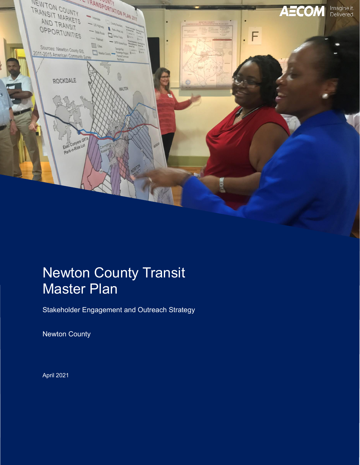

# Newton County Transit Master Plan

Stakeholder Engagement and Outreach Strategy

Newton County

April 2021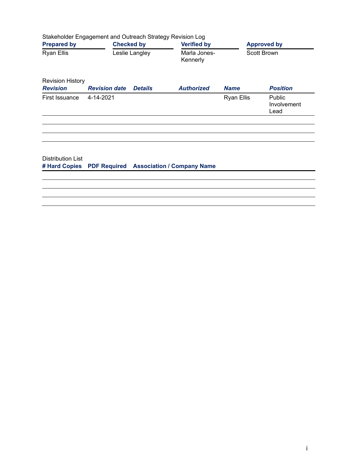|                                            | Stakeholder Engagement and Outreach Strategy Revision Log |                |                                   |                   |                               |  |  |  |  |  |  |
|--------------------------------------------|-----------------------------------------------------------|----------------|-----------------------------------|-------------------|-------------------------------|--|--|--|--|--|--|
| <b>Prepared by</b>                         | <b>Checked by</b>                                         |                | <b>Verified by</b>                |                   | <b>Approved by</b>            |  |  |  |  |  |  |
| <b>Ryan Ellis</b>                          |                                                           | Leslie Langley | Marla Jones-<br>Kennerly          |                   | Scott Brown                   |  |  |  |  |  |  |
| <b>Revision History</b><br><b>Revision</b> | <b>Revision date</b>                                      | <b>Details</b> | <b>Authorized</b>                 | <b>Name</b>       | <b>Position</b>               |  |  |  |  |  |  |
| First Issuance                             | 4-14-2021                                                 |                |                                   | <b>Ryan Ellis</b> | Public<br>Involvement<br>Lead |  |  |  |  |  |  |
|                                            |                                                           |                |                                   |                   |                               |  |  |  |  |  |  |
| Distribution List<br># Hard Copies         | <b>PDF Required</b>                                       |                | <b>Association / Company Name</b> |                   |                               |  |  |  |  |  |  |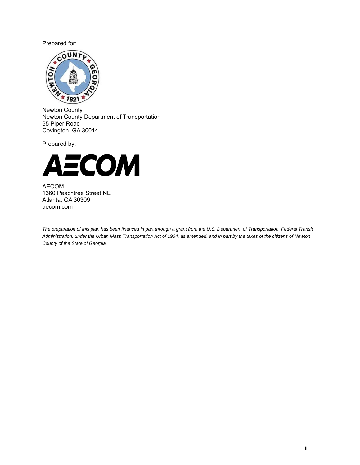Prepared for:



Newton County Newton County Department of Transportation 65 Piper Road Covington, GA 30014

Prepared by:



AECOM 1360 Peachtree Street NE Atlanta, GA 30309 aecom.com

*The preparation of this plan has been financed in part through a grant from the U.S. Department of Transportation, Federal Transit Administration, under the Urban Mass Transportation Act of 1964, as amended, and in part by the taxes of the citizens of Newton County of the State of Georgia.*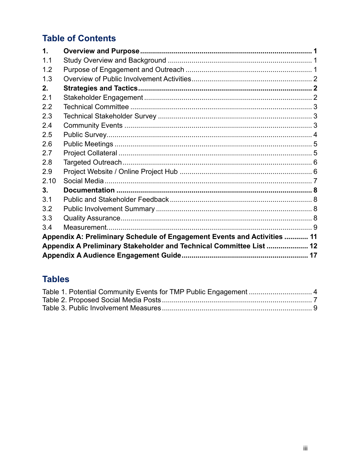## **Table of Contents**

| $\mathbf{1}$ . |                                                                          |  |
|----------------|--------------------------------------------------------------------------|--|
| 1.1            |                                                                          |  |
| 1.2            |                                                                          |  |
| 1.3            |                                                                          |  |
| 2.             |                                                                          |  |
| 2.1            |                                                                          |  |
| 2.2            |                                                                          |  |
| 2.3            |                                                                          |  |
| 2.4            |                                                                          |  |
| 2.5            |                                                                          |  |
| 2.6            |                                                                          |  |
| 2.7            |                                                                          |  |
| 2.8            |                                                                          |  |
| 2.9            |                                                                          |  |
| 2.10           |                                                                          |  |
| 3.             |                                                                          |  |
| 3.1            |                                                                          |  |
| 3.2            |                                                                          |  |
| 3.3            |                                                                          |  |
| 3.4            |                                                                          |  |
|                | Appendix A: Preliminary Schedule of Engagement Events and Activities  11 |  |
|                | Appendix A Preliminary Stakeholder and Technical Committee List  12      |  |
|                |                                                                          |  |

### **Tables**

| Table 1. Potential Community Events for TMP Public Engagement  4 |  |
|------------------------------------------------------------------|--|
|                                                                  |  |
|                                                                  |  |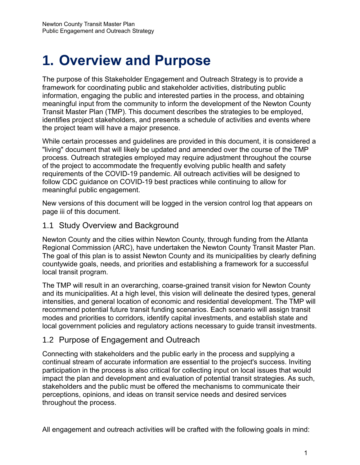# **1. Overview and Purpose**

The purpose of this Stakeholder Engagement and Outreach Strategy is to provide a framework for coordinating public and stakeholder activities, distributing public information, engaging the public and interested parties in the process, and obtaining meaningful input from the community to inform the development of the Newton County Transit Master Plan (TMP). This document describes the strategies to be employed, identifies project stakeholders, and presents a schedule of activities and events where the project team will have a major presence.

While certain processes and guidelines are provided in this document, it is considered a "living" document that will likely be updated and amended over the course of the TMP process. Outreach strategies employed may require adjustment throughout the course of the project to accommodate the frequently evolving public health and safety requirements of the COVID-19 pandemic. All outreach activities will be designed to follow CDC guidance on COVID-19 best practices while continuing to allow for meaningful public engagement.

New versions of this document will be logged in the version control log that appears on page iii of this document.

#### 1.1 Study Overview and Background

Newton County and the cities within Newton County, through funding from the Atlanta Regional Commission (ARC), have undertaken the Newton County Transit Master Plan. The goal of this plan is to assist Newton County and its municipalities by clearly defining countywide goals, needs, and priorities and establishing a framework for a successful local transit program.

The TMP will result in an overarching, coarse-grained transit vision for Newton County and its municipalities. At a high level, this vision will delineate the desired types, general intensities, and general location of economic and residential development. The TMP will recommend potential future transit funding scenarios. Each scenario will assign transit modes and priorities to corridors, identify capital investments, and establish state and local government policies and regulatory actions necessary to guide transit investments.

### 1.2 Purpose of Engagement and Outreach

Connecting with stakeholders and the public early in the process and supplying a continual stream of accurate information are essential to the project's success. Inviting participation in the process is also critical for collecting input on local issues that would impact the plan and development and evaluation of potential transit strategies. As such, stakeholders and the public must be offered the mechanisms to communicate their perceptions, opinions, and ideas on transit service needs and desired services throughout the process.

All engagement and outreach activities will be crafted with the following goals in mind: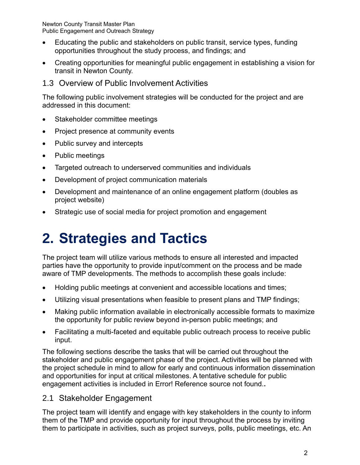- Educating the public and stakeholders on public transit, service types, funding opportunities throughout the study process, and findings; and
- Creating opportunities for meaningful public engagement in establishing a vision for transit in Newton County.
- 1.3 Overview of Public Involvement Activities

The following public involvement strategies will be conducted for the project and are addressed in this document:

- Stakeholder committee meetings
- Project presence at community events
- Public survey and intercepts
- Public meetings
- Targeted outreach to underserved communities and individuals
- Development of project communication materials
- Development and maintenance of an online engagement platform (doubles as project website)
- Strategic use of social media for project promotion and engagement

# **2. Strategies and Tactics**

The project team will utilize various methods to ensure all interested and impacted parties have the opportunity to provide input/comment on the process and be made aware of TMP developments. The methods to accomplish these goals include:

- Holding public meetings at convenient and accessible locations and times;
- Utilizing visual presentations when feasible to present plans and TMP findings;
- Making public information available in electronically accessible formats to maximize the opportunity for public review beyond in-person public meetings; and
- Facilitating a multi-faceted and equitable public outreach process to receive public input.

The following sections describe the tasks that will be carried out throughout the stakeholder and public engagement phase of the project. Activities will be planned with the project schedule in mind to allow for early and continuous information dissemination and opportunities for input at critical milestones. A tentative schedule for public engagement activities is included in Error! Reference source not found.**.**

### 2.1 Stakeholder Engagement

The project team will identify and engage with key stakeholders in the county to inform them of the TMP and provide opportunity for input throughout the process by inviting them to participate in activities, such as project surveys, polls, public meetings, etc. An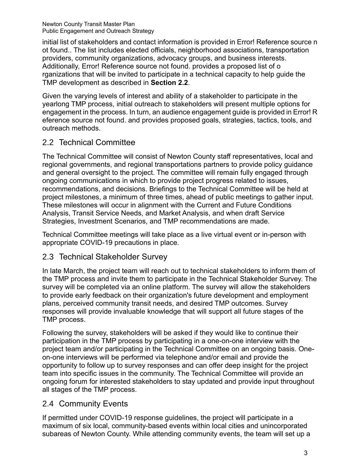initial list of stakeholders and contact information is provided in Error! Reference source n ot found.. The list includes elected officials, neighborhood associations, transportation providers, community organizations, advocacy groups, and business interests. Additionally, Error! Reference source not found. provides a proposed list of o rganizations that will be invited to participate in a technical capacity to help guide the TMP development as described in **Section [2.2](#page-6-0)**.

Given the varying levels of interest and ability of a stakeholder to participate in the yearlong TMP process, initial outreach to stakeholders will present multiple options for engagement in the process. In turn, an audience engagement guide is provided in Error! R eference source not found. and provides proposed goals, strategies, tactics, tools, and outreach methods.

### <span id="page-6-0"></span>2.2 Technical Committee

The Technical Committee will consist of Newton County staff representatives, local and regional governments, and regional transportations partners to provide policy guidance and general oversight to the project. The committee will remain fully engaged through ongoing communications in which to provide project progress related to issues, recommendations, and decisions. Briefings to the Technical Committee will be held at project milestones, a minimum of three times, ahead of public meetings to gather input. These milestones will occur in alignment with the Current and Future Conditions Analysis, Transit Service Needs, and Market Analysis, and when draft Service Strategies, Investment Scenarios, and TMP recommendations are made.

Technical Committee meetings will take place as a live virtual event or in-person with appropriate COVID-19 precautions in place.

### 2.3 Technical Stakeholder Survey

In late March, the project team will reach out to technical stakeholders to inform them of the TMP process and invite them to participate in the Technical Stakeholder Survey. The survey will be completed via an online platform. The survey will allow the stakeholders to provide early feedback on their organization's future development and employment plans, perceived community transit needs, and desired TMP outcomes. Survey responses will provide invaluable knowledge that will support all future stages of the TMP process.

Following the survey, stakeholders will be asked if they would like to continue their participation in the TMP process by participating in a one-on-one interview with the project team and/or participating in the Technical Committee on an ongoing basis. Oneon-one interviews will be performed via telephone and/or email and provide the opportunity to follow up to survey responses and can offer deep insight for the project team into specific issues in the community. The Technical Committee will provide an ongoing forum for interested stakeholders to stay updated and provide input throughout all stages of the TMP process.

### 2.4 Community Events

If permitted under COVID-19 response guidelines, the project will participate in a maximum of six local, community-based events within local cities and unincorporated subareas of Newton County. While attending community events, the team will set up a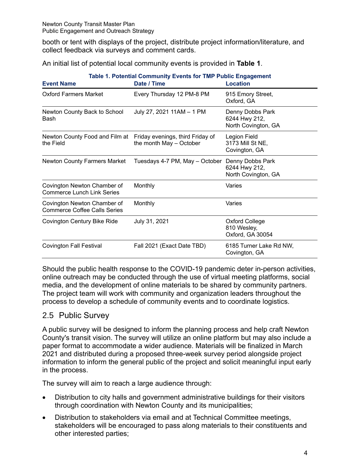booth or tent with displays of the project, distribute project information/literature, and collect feedback via surveys and comment cards.

An initial list of potential local community events is provided in **[Table 1](#page-7-0)**.

<span id="page-7-0"></span>

| Table 1. Potential Community Events for TMP Public Engagement                |                                |                                                          |  |  |  |  |  |  |  |
|------------------------------------------------------------------------------|--------------------------------|----------------------------------------------------------|--|--|--|--|--|--|--|
| <b>Event Name</b>                                                            | Date / Time                    | <b>Location</b>                                          |  |  |  |  |  |  |  |
| <b>Oxford Farmers Market</b>                                                 | Every Thursday 12 PM-8 PM      | 915 Emory Street,<br>Oxford, GA                          |  |  |  |  |  |  |  |
| Newton County Back to School<br>Bash                                         | July 27, 2021 11AM - 1 PM      | Denny Dobbs Park<br>6244 Hwy 212,<br>North Covington, GA |  |  |  |  |  |  |  |
| Newton County Food and Film at Friday evenings, third Friday of<br>the Field | the month May - October        | Legion Field<br>3173 Mill St NE,<br>Covington, GA        |  |  |  |  |  |  |  |
| <b>Newton County Farmers Market</b>                                          | Tuesdays 4-7 PM, May - October | Denny Dobbs Park<br>6244 Hwy 212,<br>North Covington, GA |  |  |  |  |  |  |  |
| Covington Newton Chamber of<br><b>Commerce Lunch Link Series</b>             | Monthly                        | Varies                                                   |  |  |  |  |  |  |  |
| Covington Newton Chamber of<br><b>Commerce Coffee Calls Series</b>           | Monthly                        | Varies                                                   |  |  |  |  |  |  |  |
| Covington Century Bike Ride                                                  | July 31, 2021                  | <b>Oxford College</b><br>810 Wesley,<br>Oxford, GA 30054 |  |  |  |  |  |  |  |
| <b>Covington Fall Festival</b>                                               | Fall 2021 (Exact Date TBD)     | 6185 Turner Lake Rd NW,<br>Covington, GA                 |  |  |  |  |  |  |  |

Should the public health response to the COVID-19 pandemic deter in-person activities, online outreach may be conducted through the use of virtual meeting platforms, social media, and the development of online materials to be shared by community partners. The project team will work with community and organization leaders throughout the process to develop a schedule of community events and to coordinate logistics.

#### 2.5 Public Survey

A public survey will be designed to inform the planning process and help craft Newton County's transit vision. The survey will utilize an online platform but may also include a paper format to accommodate a wider audience. Materials will be finalized in March 2021 and distributed during a proposed three-week survey period alongside project information to inform the general public of the project and solicit meaningful input early in the process.

The survey will aim to reach a large audience through:

- Distribution to city halls and government administrative buildings for their visitors through coordination with Newton County and its municipalities;
- Distribution to stakeholders via email and at Technical Committee meetings, stakeholders will be encouraged to pass along materials to their constituents and other interested parties;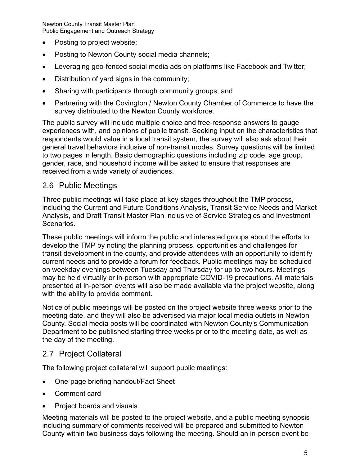- Posting to project website;
- Posting to Newton County social media channels;
- Leveraging geo-fenced social media ads on platforms like Facebook and Twitter;
- Distribution of yard signs in the community;
- Sharing with participants through community groups; and
- Partnering with the Covington / Newton County Chamber of Commerce to have the survey distributed to the Newton County workforce.

The public survey will include multiple choice and free-response answers to gauge experiences with, and opinions of public transit. Seeking input on the characteristics that respondents would value in a local transit system, the survey will also ask about their general travel behaviors inclusive of non-transit modes. Survey questions will be limited to two pages in length. Basic demographic questions including zip code, age group, gender, race, and household income will be asked to ensure that responses are received from a wide variety of audiences.

#### 2.6 Public Meetings

Three public meetings will take place at key stages throughout the TMP process, including the Current and Future Conditions Analysis, Transit Service Needs and Market Analysis, and Draft Transit Master Plan inclusive of Service Strategies and Investment Scenarios.

These public meetings will inform the public and interested groups about the efforts to develop the TMP by noting the planning process, opportunities and challenges for transit development in the county, and provide attendees with an opportunity to identify current needs and to provide a forum for feedback. Public meetings may be scheduled on weekday evenings between Tuesday and Thursday for up to two hours. Meetings may be held virtually or in-person with appropriate COVID-19 precautions. All materials presented at in-person events will also be made available via the project website, along with the ability to provide comment.

Notice of public meetings will be posted on the project website three weeks prior to the meeting date, and they will also be advertised via major local media outlets in Newton County. Social media posts will be coordinated with Newton County's Communication Department to be published starting three weeks prior to the meeting date, as well as the day of the meeting.

### 2.7 Project Collateral

The following project collateral will support public meetings:

- One-page briefing handout/Fact Sheet
- Comment card
- Project boards and visuals

Meeting materials will be posted to the project website, and a public meeting synopsis including summary of comments received will be prepared and submitted to Newton County within two business days following the meeting. Should an in-person event be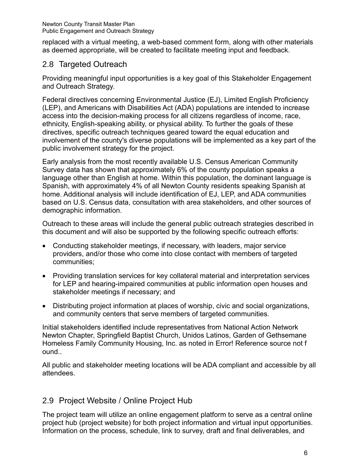replaced with a virtual meeting, a web-based comment form, along with other materials as deemed appropriate, will be created to facilitate meeting input and feedback.

### 2.8 Targeted Outreach

Providing meaningful input opportunities is a key goal of this Stakeholder Engagement and Outreach Strategy.

Federal directives concerning Environmental Justice (EJ), Limited English Proficiency (LEP), and Americans with Disabilities Act (ADA) populations are intended to increase access into the decision-making process for all citizens regardless of income, race, ethnicity, English-speaking ability, or physical ability. To further the goals of these directives, specific outreach techniques geared toward the equal education and involvement of the county's diverse populations will be implemented as a key part of the public involvement strategy for the project.

Early analysis from the most recently available U.S. Census American Community Survey data has shown that approximately 6% of the county population speaks a language other than English at home. Within this population, the dominant language is Spanish, with approximately 4% of all Newton County residents speaking Spanish at home. Additional analysis will include identification of EJ, LEP, and ADA communities based on U.S. Census data, consultation with area stakeholders, and other sources of demographic information.

Outreach to these areas will include the general public outreach strategies described in this document and will also be supported by the following specific outreach efforts:

- Conducting stakeholder meetings, if necessary, with leaders, major service providers, and/or those who come into close contact with members of targeted communities;
- Providing translation services for key collateral material and interpretation services for LEP and hearing-impaired communities at public information open houses and stakeholder meetings if necessary; and
- Distributing project information at places of worship, civic and social organizations, and community centers that serve members of targeted communities.

Initial stakeholders identified include representatives from National Action Network Newton Chapter, Springfield Baptist Church, Unidos Latinos, Garden of Gethsemane Homeless Family Community Housing, Inc. as noted in Error! Reference source not f ound..

All public and stakeholder meeting locations will be ADA compliant and accessible by all attendees.

### 2.9 Project Website / Online Project Hub

The project team will utilize an online engagement platform to serve as a central online project hub (project website) for both project information and virtual input opportunities. Information on the process, schedule, link to survey, draft and final deliverables, and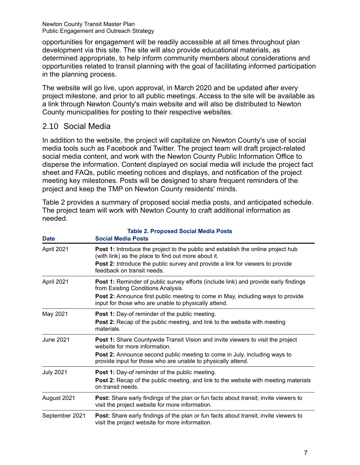opportunities for engagement will be readily accessible at all times throughout plan development via this site. The site will also provide educational materials, as determined appropriate, to help inform community members about considerations and opportunities related to transit planning with the goal of facilitating informed participation in the planning process.

The website will go live, upon approval, in March 2020 and be updated after every project milestone, and prior to all public meetings. Access to the site will be available as a link through Newton County's main website and will also be distributed to Newton County municipalities for posting to their respective websites.

#### 2.10 Social Media

In addition to the website, the project will capitalize on Newton County's use of social media tools such as Facebook and Twitter. The project team will draft project-related social media content, and work with the Newton County Public Information Office to disperse the information. Content displayed on social media will include the project fact sheet and FAQs, public meeting notices and displays, and notification of the project meeting key milestones. Posts will be designed to share frequent reminders of the project and keep the TMP on Newton County residents' minds.

Table 2 provides a summary of proposed social media posts, and anticipated schedule. The project team will work with Newton County to craft additional information as needed.

**Table 2. Proposed Social Media Posts**

| <b>Date</b>      | <b>Social Media Posts</b>                                                                                                                                                                                                              |  |  |  |  |  |
|------------------|----------------------------------------------------------------------------------------------------------------------------------------------------------------------------------------------------------------------------------------|--|--|--|--|--|
| April 2021       | <b>Post 1:</b> Introduce the project to the public and establish the online project hub<br>(with link) as the place to find out more about it.<br><b>Post 2:</b> Introduce the public survey and provide a link for viewers to provide |  |  |  |  |  |
|                  | feedback on transit needs.                                                                                                                                                                                                             |  |  |  |  |  |
| April 2021       | <b>Post 1:</b> Reminder of public survey efforts (include link) and provide early findings<br>from Existing Conditions Analysis.                                                                                                       |  |  |  |  |  |
|                  | Post 2: Announce first public meeting to come in May, including ways to provide<br>input for those who are unable to physically attend.                                                                                                |  |  |  |  |  |
| May 2021         | <b>Post 1:</b> Day-of reminder of the public meeting.                                                                                                                                                                                  |  |  |  |  |  |
|                  | Post 2: Recap of the public meeting, and link to the website with meeting<br>materials.                                                                                                                                                |  |  |  |  |  |
| June 2021        | <b>Post 1:</b> Share Countywide Transit Vision and invite viewers to visit the project<br>website for more information.                                                                                                                |  |  |  |  |  |
|                  | <b>Post 2:</b> Announce second public meeting to come in July, including ways to<br>provide input for those who are unable to physically attend.                                                                                       |  |  |  |  |  |
| <b>July 2021</b> | Post 1: Day-of reminder of the public meeting.<br><b>Post 2:</b> Recap of the public meeting, and link to the website with meeting materials<br>on transit needs.                                                                      |  |  |  |  |  |
| August 2021      | <b>Post:</b> Share early findings of the plan or fun facts about transit; invite viewers to<br>visit the project website for more information.                                                                                         |  |  |  |  |  |
| September 2021   | <b>Post:</b> Share early findings of the plan or fun facts about transit; invite viewers to<br>visit the project website for more information.                                                                                         |  |  |  |  |  |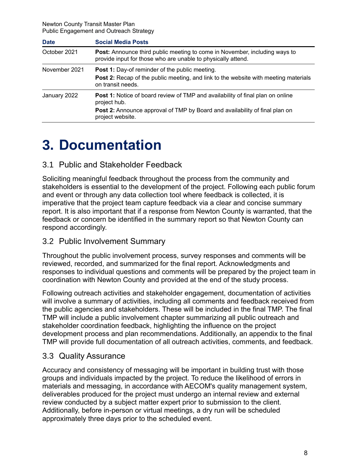| <b>Date</b>   | <b>Social Media Posts</b>                                                                                                                                                                                |
|---------------|----------------------------------------------------------------------------------------------------------------------------------------------------------------------------------------------------------|
| October 2021  | <b>Post:</b> Announce third public meeting to come in November, including ways to<br>provide input for those who are unable to physically attend.                                                        |
| November 2021 | <b>Post 1:</b> Day-of reminder of the public meeting.<br><b>Post 2:</b> Recap of the public meeting, and link to the website with meeting materials<br>on transit needs.                                 |
| January 2022  | <b>Post 1:</b> Notice of board review of TMP and availability of final plan on online<br>project hub.<br>Post 2: Announce approval of TMP by Board and availability of final plan on<br>project website. |

# **3. Documentation**

#### 3.1 Public and Stakeholder Feedback

Soliciting meaningful feedback throughout the process from the community and stakeholders is essential to the development of the project. Following each public forum and event or through any data collection tool where feedback is collected, it is imperative that the project team capture feedback via a clear and concise summary report. It is also important that if a response from Newton County is warranted, that the feedback or concern be identified in the summary report so that Newton County can respond accordingly.

#### 3.2 Public Involvement Summary

Throughout the public involvement process, survey responses and comments will be reviewed, recorded, and summarized for the final report. Acknowledgments and responses to individual questions and comments will be prepared by the project team in coordination with Newton County and provided at the end of the study process.

Following outreach activities and stakeholder engagement, documentation of activities will involve a summary of activities, including all comments and feedback received from the public agencies and stakeholders. These will be included in the final TMP. The final TMP will include a public involvement chapter summarizing all public outreach and stakeholder coordination feedback, highlighting the influence on the project development process and plan recommendations. Additionally, an appendix to the final TMP will provide full documentation of all outreach activities, comments, and feedback.

### 3.3 Quality Assurance

Accuracy and consistency of messaging will be important in building trust with those groups and individuals impacted by the project. To reduce the likelihood of errors in materials and messaging, in accordance with AECOM's quality management system, deliverables produced for the project must undergo an internal review and external review conducted by a subject matter expert prior to submission to the client. Additionally, before in-person or virtual meetings, a dry run will be scheduled approximately three days prior to the scheduled event.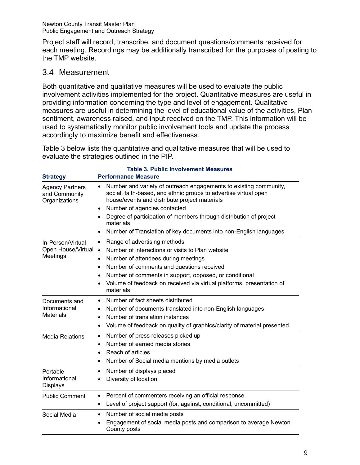Project staff will record, transcribe, and document questions/comments received for each meeting. Recordings may be additionally transcribed for the purposes of posting to the TMP website.

### 3.4 Measurement

Both quantitative and qualitative measures will be used to evaluate the public involvement activities implemented for the project. Quantitative measures are useful in providing information concerning the type and level of engagement. Qualitative measures are useful in determining the level of educational value of the activities, Plan sentiment, awareness raised, and input received on the TMP. This information will be used to systematically monitor public involvement tools and update the process accordingly to maximize benefit and effectiveness.

Table 3 below lists the quantitative and qualitative measures that will be used to evaluate the strategies outlined in the PIP.

| <b>Strategy</b>                                          | <b>Table 3. Public Involvement Measures</b><br><b>Performance Measure</b>                                                                                                                                                                                                                                                                                                                                                  |
|----------------------------------------------------------|----------------------------------------------------------------------------------------------------------------------------------------------------------------------------------------------------------------------------------------------------------------------------------------------------------------------------------------------------------------------------------------------------------------------------|
| <b>Agency Partners</b><br>and Community<br>Organizations | Number and variety of outreach engagements to existing community,<br>$\bullet$<br>social, faith-based, and ethnic groups to advertise virtual open<br>house/events and distribute project materials<br>Number of agencies contacted<br>$\bullet$<br>Degree of participation of members through distribution of project<br>٠<br>materials<br>Number of Translation of key documents into non-English languages<br>$\bullet$ |
| In-Person/Virtual<br>Open House/Virtual<br>Meetings      | Range of advertising methods<br>$\bullet$<br>Number of interactions or visits to Plan website<br>$\bullet$<br>Number of attendees during meetings<br>$\bullet$<br>Number of comments and questions received<br>٠<br>Number of comments in support, opposed, or conditional<br>٠<br>Volume of feedback on received via virtual platforms, presentation of<br>materials                                                      |
| Documents and<br>Informational<br><b>Materials</b>       | Number of fact sheets distributed<br>٠<br>Number of documents translated into non-English languages<br>٠<br>Number of translation instances<br>$\bullet$<br>Volume of feedback on quality of graphics/clarity of material presented<br>$\bullet$                                                                                                                                                                           |
| <b>Media Relations</b>                                   | Number of press releases picked up<br>٠<br>Number of earned media stories<br>$\bullet$<br>Reach of articles<br>$\bullet$<br>Number of Social media mentions by media outlets<br>٠                                                                                                                                                                                                                                          |
| Portable<br>Informational<br><b>Displays</b>             | Number of displays placed<br>٠<br>Diversity of location<br>$\bullet$                                                                                                                                                                                                                                                                                                                                                       |
| <b>Public Comment</b>                                    | Percent of commenters receiving an official response<br>٠<br>Level of project support (for, against, conditional, uncommitted)<br>$\bullet$                                                                                                                                                                                                                                                                                |
| Social Media                                             | Number of social media posts<br>$\bullet$<br>Engagement of social media posts and comparison to average Newton<br>County posts                                                                                                                                                                                                                                                                                             |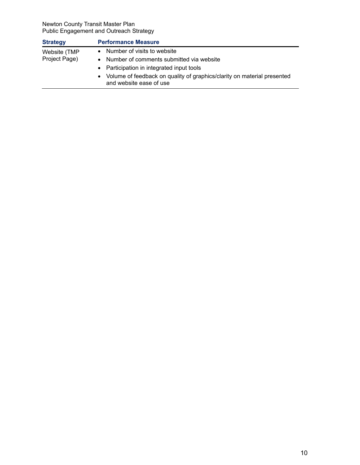| • Number of visits to website<br>Website (TMP<br>Project Page)<br>Number of comments submitted via website<br>$\bullet$<br>• Participation in integrated input tools<br>• Volume of feedback on quality of graphics/clarity on material presented | <b>Strategy</b> | <b>Performance Measure</b> |
|---------------------------------------------------------------------------------------------------------------------------------------------------------------------------------------------------------------------------------------------------|-----------------|----------------------------|
|                                                                                                                                                                                                                                                   |                 | and website ease of use    |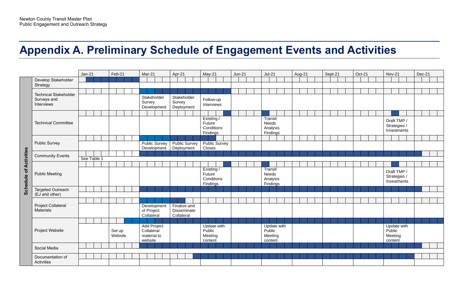# **Appendix A. Preliminary Schedule of Engagement Events and Activities**

|                               |                                                           | $Jan-21$    |  | Feb-21            |  | Mar-21  |                                          | Apr-21                              |                      | $May-21$                                       |  | $Jun-21$ |  | $Jul-21$                                        |             | Aug-21 |  | Sept-21 |  | Oct-21 |  | <b>Nov-21</b>                               |  | Dec-21 |  |
|-------------------------------|-----------------------------------------------------------|-------------|--|-------------------|--|---------|------------------------------------------|-------------------------------------|----------------------|------------------------------------------------|--|----------|--|-------------------------------------------------|-------------|--------|--|---------|--|--------|--|---------------------------------------------|--|--------|--|
|                               | Develop Stakeholder                                       |             |  |                   |  |         |                                          |                                     |                      |                                                |  |          |  |                                                 |             |        |  |         |  |        |  |                                             |  |        |  |
|                               | Strategy                                                  |             |  |                   |  |         |                                          |                                     |                      |                                                |  |          |  |                                                 |             |        |  |         |  |        |  |                                             |  |        |  |
|                               | <b>Technical Stakeholder</b><br>Surveys and<br>Interviews |             |  |                   |  | Survey  | Stakeholder<br>Development               | Stakeholder<br>Survey<br>Deployment |                      | Follow-up<br>Interviews                        |  |          |  |                                                 |             |        |  |         |  |        |  |                                             |  |        |  |
|                               |                                                           |             |  |                   |  |         |                                          |                                     |                      |                                                |  |          |  |                                                 |             |        |  |         |  |        |  |                                             |  |        |  |
|                               | <b>Technical Committee</b>                                |             |  |                   |  |         |                                          |                                     |                      | Existing /<br>Future<br>Conditions<br>Findings |  |          |  | Transit<br>Needs<br>Analysis<br>Findings        |             |        |  |         |  |        |  | Draft TMP /<br>Strategies /<br>Investments  |  |        |  |
|                               |                                                           |             |  |                   |  |         |                                          |                                     |                      |                                                |  |          |  |                                                 |             |        |  |         |  |        |  |                                             |  |        |  |
|                               | <b>Public Survey</b>                                      |             |  |                   |  |         | <b>Public Survey</b><br>Development      | Deployment                          | <b>Public Survey</b> | <b>Public Survey</b><br>Closes                 |  |          |  |                                                 |             |        |  |         |  |        |  |                                             |  |        |  |
|                               | <b>Community Events</b>                                   | See Table 1 |  |                   |  |         |                                          |                                     |                      |                                                |  |          |  |                                                 |             |        |  |         |  |        |  |                                             |  |        |  |
|                               |                                                           |             |  |                   |  |         |                                          |                                     |                      |                                                |  |          |  |                                                 |             |        |  |         |  |        |  |                                             |  |        |  |
| <b>Schedule of Activities</b> | <b>Public Meeting</b>                                     |             |  |                   |  |         |                                          |                                     |                      | Existing /<br>Future<br>Conditions<br>Findings |  |          |  | <b>Transit</b><br>Needs<br>Analysis<br>Findings |             |        |  |         |  |        |  | Draft TMP /<br>Strategies /<br>Investments  |  |        |  |
|                               | Targeted Outreach                                         |             |  |                   |  |         |                                          |                                     |                      |                                                |  |          |  |                                                 |             |        |  |         |  |        |  |                                             |  |        |  |
|                               | (EJ and other)                                            |             |  |                   |  |         |                                          |                                     |                      |                                                |  |          |  |                                                 |             |        |  |         |  |        |  |                                             |  |        |  |
|                               | Project Collateral<br>Materials                           |             |  |                   |  |         | Development<br>of Project<br>Collateral  | Finalize and<br>Collateral          | Disseminate          |                                                |  |          |  |                                                 |             |        |  |         |  |        |  |                                             |  |        |  |
|                               |                                                           |             |  |                   |  |         |                                          |                                     |                      |                                                |  |          |  |                                                 |             |        |  |         |  |        |  |                                             |  |        |  |
|                               | Project Website                                           |             |  | Set up<br>Website |  | website | Add Project<br>Collateral<br>material to |                                     |                      | Update with<br>Public<br>Meeting<br>content    |  |          |  | Public<br>Meeting<br>content                    | Update with |        |  |         |  |        |  | Update with<br>Public<br>Meeting<br>content |  |        |  |
|                               | Social Media                                              |             |  |                   |  |         |                                          |                                     |                      |                                                |  |          |  |                                                 |             |        |  |         |  |        |  |                                             |  |        |  |
|                               | Documentation of<br>Activities                            |             |  |                   |  |         |                                          |                                     |                      |                                                |  |          |  |                                                 |             |        |  |         |  |        |  |                                             |  |        |  |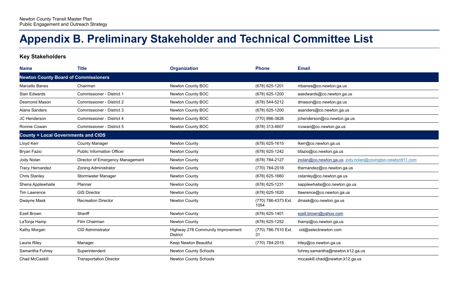# **Appendix B. Preliminary Stakeholder and Technical Committee List**

**Key Stakeholders**

| <b>Name</b>                                 | <b>Title</b>                      | <b>Organization</b>                                  | <b>Phone</b>                | <b>Email</b>                                               |  |  |  |  |  |  |
|---------------------------------------------|-----------------------------------|------------------------------------------------------|-----------------------------|------------------------------------------------------------|--|--|--|--|--|--|
| <b>Newton County Board of Commissioners</b> |                                   |                                                      |                             |                                                            |  |  |  |  |  |  |
| Marcello Banes                              | Chairman                          | Newton County BOC                                    | (678) 625-1201              | mbanes@co.newton.ga.us                                     |  |  |  |  |  |  |
| <b>Stan Edwards</b>                         | Commissioner - District 1         | Newton County BOC                                    | (678) 625-1200              | asedwards@co.newton.ga.us                                  |  |  |  |  |  |  |
| <b>Desmond Mason</b>                        | <b>Commissioner - District 2</b>  | Newton County BOC                                    | (678) 544-5212              | dmason@co.newton.ga.us                                     |  |  |  |  |  |  |
| Alana Sanders                               | <b>Commissioner - District 3</b>  | Newton County BOC                                    | (678) 625-1200              | asanders@co.newton.ga.us                                   |  |  |  |  |  |  |
| JC Henderson                                | Commissioner - District 4         | Newton County BOC                                    | (770) 896-3826              | jchenderson@co.newton.ga.us                                |  |  |  |  |  |  |
| Ronnie Cowan                                | Commissioner - District 5         | Newton County BOC                                    | (678) 313-4607              | rcowan@co.newton.ga.us                                     |  |  |  |  |  |  |
| <b>County + Local Governments and CIDS</b>  |                                   |                                                      |                             |                                                            |  |  |  |  |  |  |
| Lloyd Kerr                                  | <b>County Manager</b>             | Newton County                                        | (678) 625-1615              | lkerr@co.newton.ga.us                                      |  |  |  |  |  |  |
| Bryan Fazio                                 | <b>Public Information Officer</b> | Newton County                                        | (678) 625-1242              | bfazio@co.newton.ga.us                                     |  |  |  |  |  |  |
| Jody Nolan                                  | Director of Emergency Management  | Newton County                                        | (678) 784-2127              | inolan@co.newton.ga.us; jody.nolan@covington-newton911.com |  |  |  |  |  |  |
| Tracy Hernandez                             | <b>Zoning Administrator</b>       | Newton County                                        | (770) 784-2018              | thernandez@co.newton.ga.us                                 |  |  |  |  |  |  |
| <b>Chris Stanley</b>                        | Stormwater Manager                | Newton County                                        | (678) 625-1660              | cstanley@co.newton.ga.us                                   |  |  |  |  |  |  |
| Shena Applewhaite                           | Planner                           | Newton County                                        | (678) 625-1231              | sapplewhaite@co.newton.ga.us                               |  |  |  |  |  |  |
| Tim Lawrence                                | <b>GIS Director</b>               | Newton County                                        | (678) 625-1620              | tlawrence@co.newton.ga.us                                  |  |  |  |  |  |  |
| Dwayne Mask                                 | <b>Recreation Director</b>        | Newton County                                        | (770) 786-4373 Ext.<br>1054 | dmask@co.newton.ga.us                                      |  |  |  |  |  |  |
| Ezell Brown                                 | Sheriff                           | Newton County                                        | (678) 625-1401              | ezell.brown@yahoo.com                                      |  |  |  |  |  |  |
| LaTonja Hamp                                | Film Chairman                     | Newton County                                        | (678) 625-1252              | lhamp@co.newton.ga.us                                      |  |  |  |  |  |  |
| Kathy Morgan                                | <b>CID Administrator</b>          | Highway 278 Community Improvement<br><b>District</b> | (770) 786-7510 Ext.<br>31   | cid@selectnewton.com                                       |  |  |  |  |  |  |
| Laurie Riley                                | Manager                           | Keep Newton Beautiful                                | (770) 784-2015              | lriley@co.newton.ga.us                                     |  |  |  |  |  |  |
| Samantha Fuhrey                             | Superintendent                    | Newton County Schools                                |                             | fuhrey.samantha@newton.k12.ga.us                           |  |  |  |  |  |  |
| <b>Chad McCaskill</b>                       | <b>Transportation Director</b>    | <b>Newton County Schools</b>                         |                             | mccaskill.chad@newton.k12.ga.us                            |  |  |  |  |  |  |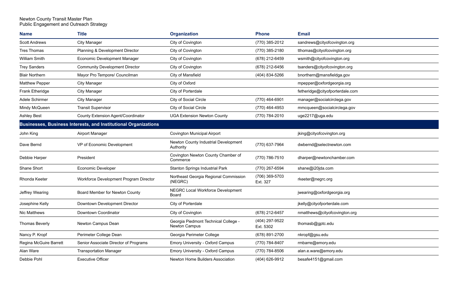| <b>Name</b>            | <b>Title</b>                                                           | <b>Organization</b>                                   | <b>Phone</b>                | <b>Email</b>                    |
|------------------------|------------------------------------------------------------------------|-------------------------------------------------------|-----------------------------|---------------------------------|
| <b>Scott Andrews</b>   | <b>City Manager</b>                                                    | City of Covington                                     | (770) 385-2012              | sandrews@cityofcovington.org    |
| Tres Thomas            | Planning & Development Director                                        | City of Covington                                     | (770) 385-2180              | tthomas@cityofcovington.org     |
| <b>William Smith</b>   | <b>Economic Development Manager</b>                                    | City of Covington                                     | (678) 212-6459              | wsmith@cityofcovington.org      |
| <b>Trey Sanders</b>    | <b>Community Development Director</b>                                  | City of Covington                                     | (678) 212-6456              | tsanders@cityofcovington.org    |
| <b>Blair Northern</b>  | Mayor Pro Tempore/ Councilman                                          | City of Mansfield                                     | (404) 834-5266              | bnorthern@mansfieldga.gov       |
| <b>Matthew Pepper</b>  | <b>City Manager</b>                                                    | City of Oxford                                        |                             | mpepper@oxfordgeorgia.org       |
| Frank Etheridge        | <b>City Manager</b>                                                    | City of Porterdale                                    |                             | fetheridge@cityofporterdale.com |
| Adele Schirmer         | <b>City Manager</b>                                                    | City of Social Circle                                 | (770) 464-6901              | manager@socialcirclega.gov      |
| Mindy McQueen          | <b>Transit Supervisor</b>                                              | City of Social Circle                                 | (770) 464-4953              | mmcqueen@socialcirclega.gov     |
| <b>Ashley Best</b>     | <b>County Extension Agent/Coordinator</b>                              | <b>UGA Extension Newton County</b>                    | (770) 784-2010              | uge2217@uga.edu                 |
|                        | <b>Businesses, Business Interests, and Institutional Organizations</b> |                                                       |                             |                                 |
| John King              | Airport Manager                                                        | <b>Covington Municipal Airport</b>                    |                             | jking@cityofcovington.org       |
| Dave Bernd             | VP of Economic Development                                             | Newton County Industrial Development<br>Authority     | (770) 637-7964              | dwbernd@selectnewton.com        |
| Debbie Harper          | President                                                              | Covington Newton County Chamber of<br>Commerce        | (770) 786-7510              | dharper@newtonchamber.com       |
| Shane Short            | <b>Economic Developer</b>                                              | <b>Stanton Springs Industrial Park</b>                | (770) 267-6594              | shane@i20jda.com                |
| Rhonda Keeter          | Workforce Development Program Director                                 | Northeast Georgia Regional Commission<br>(NEGRC)      | (706) 369-5703<br>Ext. 327  | rkeeter@negrc.org               |
| Jeffrey Wearing        | Board Member for Newton County                                         | NEGRC Local Workforce Development<br>Board            |                             | jwearing@oxfordgeorgia.org      |
| Josephine Kelly        | Downtown Development Director                                          | City of Porterdale                                    |                             | jkelly@cityofporterdale.com     |
| <b>Nic Matthews</b>    | Downtown Coordinator                                                   | City of Covington                                     | (678) 212-6457              | nmatthews@cityofcovington.org   |
| Thomas Beverly         | Newton Campus Dean                                                     | Georgia Piedmont Technical College -<br>Newton Campus | (404) 297-9522<br>Ext. 5302 | thomasb@gptc.edu                |
| Nancy P. Kropf         | Perimeter College Dean                                                 | Georgia Perimeter College                             | (678) 891-2700              | nkropf@gsu.edu                  |
| Regina McGuire Barrett | Senior Associate Director of Programs                                  | Emory University - Oxford Campus                      | (770) 784-8407              | rmbarre@emory.edu               |
| Alan Ware              | <b>Transportation Manager</b>                                          | Emory University - Oxford Campus                      | (770) 784-8506              | alan.e.ware@emory.edu           |
| Debbie Pohl            | <b>Executive Officer</b>                                               | Newton Home Builders Association                      | (404) 626-9912              | besafe4151@gmail.com            |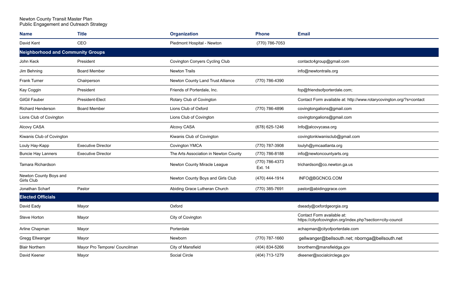| <b>Name</b>                              | <b>Title</b>                  | <b>Organization</b>                   | <b>Phone</b>              | <b>Email</b>                                                                             |
|------------------------------------------|-------------------------------|---------------------------------------|---------------------------|------------------------------------------------------------------------------------------|
| David Kent                               | CEO                           | Piedmont Hospital - Newton            | (770) 786-7053            |                                                                                          |
| <b>Neighborhood and Community Groups</b> |                               |                                       |                           |                                                                                          |
| John Keck                                | President                     | <b>Covington Conyers Cycling Club</b> |                           | contactc4group@gmail.com                                                                 |
| Jim Behning                              | <b>Board Member</b>           | <b>Newton Trails</b>                  |                           | info@newtontrails.org                                                                    |
| <b>Frank Turner</b>                      | Chairperson                   | Newton County Land Trust Alliance     | (770) 786-4390            |                                                                                          |
| Kay Coggin                               | President                     | Friends of Porterdale, Inc.           |                           | fop@friendsofporterdale.com;                                                             |
| <b>GilGil Fauber</b>                     | President-Elect               | Rotary Club of Covington              |                           | Contact Form available at: http://www.rotarycovington.org/?s=contact                     |
| <b>Richard Henderson</b>                 | <b>Board Member</b>           | Lions Club of Oxford                  | (770) 786-4896            | covingtongalions@gmail.com                                                               |
| Lions Club of Covington                  |                               | Lions Club of Covington               |                           | covingtongalions@gmail.com                                                               |
| Alcovy CASA                              |                               | Alcovy CASA                           | (678) 625-1246            | Info@alcovycasa.org                                                                      |
| Kiwanis Club of Covington                |                               | Kiwanis Club of Covington             |                           | covingtonkiwanisclub@gmail.com                                                           |
| Louly Hay-Kapp                           | <b>Executive Director</b>     | <b>Covington YMCA</b>                 | (770) 787-3908            | loulyh@ymcaatlanta.org                                                                   |
| <b>Buncie Hay Lanners</b>                | <b>Executive Director</b>     | The Arts Association in Newton County | (770) 786-8188            | info@newtoncountyarts.org                                                                |
| Tamara Richardson                        |                               | Newton County Miracle League          | (770) 786-4373<br>Ext. 14 | trichardson@co.newton.ga.us                                                              |
| Newton County Boys and<br>Girls Club     |                               | Newton County Boys and Girls Club     | (470) 444-1914            | INFO@BGCNCG.COM                                                                          |
| Jonathan Scharf                          | Pastor                        | Abiding Grace Lutheran Church         | (770) 385-7691            | pastor@abidinggrace.com                                                                  |
| <b>Elected Officials</b>                 |                               |                                       |                           |                                                                                          |
| David Eady                               | Mayor                         | Oxford                                |                           | dseady@oxfordgeorgia.org                                                                 |
| Steve Horton                             | Mayor                         | City of Covington                     |                           | Contact Form available at:<br>https://cityofcovington.org/index.php?section=city-council |
| Arline Chapman                           | Mayor                         | Porterdale                            |                           | achapman@cityofporterdale.com                                                            |
| Gregg Ellwanger                          | Mayor                         | Newborn                               | (770) 787-1660            | gellwanger@bellsouth.net; nbornga@bellsouth.net                                          |
| <b>Blair Northern</b>                    | Mayor Pro Tempore/ Councilman | City of Mansfield                     | (404) 834-5266            | bnorthern@mansfieldga.gov                                                                |
| David Keener                             | Mayor                         | Social Circle                         | (404) 713-1279            | dkeener@socialcirclega.gov                                                               |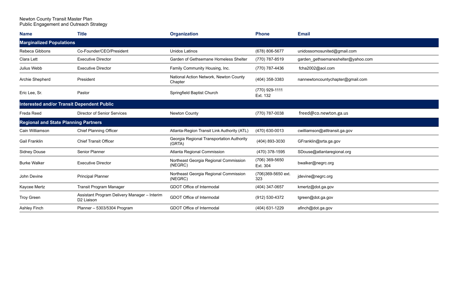| <b>Name</b>                                 | <b>Title</b>                                                           | <b>Organization</b>                                 | <b>Phone</b>               | <b>Email</b>                       |
|---------------------------------------------|------------------------------------------------------------------------|-----------------------------------------------------|----------------------------|------------------------------------|
| <b>Marginalized Populations</b>             |                                                                        |                                                     |                            |                                    |
| Rebeca Gibbons                              | Co-Founder/CEO/President                                               | Unidos Latinos                                      | (678) 806-5677             | unidossomosunited@gmail.com        |
| Clara Lett                                  | <b>Executive Director</b>                                              | Garden of Gethsemane Homeless Shelter               | (770) 787-8519             | garden gethsemaneshelter@yahoo.com |
| Julius Webb                                 | <b>Executive Director</b>                                              | Family Community Housing, Inc.                      | (770) 787-4436             | fcha2002@aol.com                   |
| Archie Shepherd                             | President                                                              | National Action Network, Newton County<br>Chapter   | (404) 358-3383             | nannewtoncountychapter@gmail.com   |
| Eric Lee, Sr.                               | Pastor                                                                 | Springfield Baptist Church                          | (770) 929-1111<br>Ext. 132 |                                    |
|                                             | <b>Interested and/or Transit Dependent Public</b>                      |                                                     |                            |                                    |
| Freda Reed                                  | <b>Director of Senior Services</b>                                     | <b>Newton County</b>                                | (770) 787-0038             | freed@co.newton.ga.us              |
| <b>Regional and State Planning Partners</b> |                                                                        |                                                     |                            |                                    |
| Cain Williamson                             | <b>Chief Planning Officer</b>                                          | Atlanta-Region Transit Link Authority (ATL)         | (470) 630-0013             | cwilliamson@atItransit.ga.gov      |
| <b>Gail Franklin</b>                        | <b>Chief Transit Officer</b>                                           | Georgia Regional Transportation Authority<br>(GRTA) | (404) 893-3030             | GFranklin@srta.ga.gov              |
| <b>Sidney Douse</b>                         | <b>Senior Planner</b>                                                  | Atlanta Regional Commission                         | (470) 378-1595             | SDouse@atlantaregional.org         |
| <b>Burke Walker</b>                         | <b>Executive Director</b>                                              | Northeast Georgia Regional Commission<br>(NEGRC)    | (706) 369-5650<br>Ext. 304 | bwalker@negrc.org                  |
| John Devine                                 | <b>Principal Planner</b>                                               | Northeast Georgia Regional Commission<br>(NEGRC)    | (706)369-5650 ext.<br>323  | jdevine@negrc.org                  |
| Kaycee Mertz                                | <b>Transit Program Manager</b>                                         | GDOT Office of Intermodal                           | (404) 347-0657             | kmertz@dot.ga.gov                  |
| <b>Troy Green</b>                           | Assistant Program Delivery Manager - Interim<br>D <sub>2</sub> Liaison | <b>GDOT Office of Intermodal</b>                    | (912) 530-4372             | tgreen@dot.ga.gov                  |
| <b>Ashley Finch</b>                         | Planner - 5303/5304 Program                                            | <b>GDOT Office of Intermodal</b>                    | (404) 631-1229             | afinch@dot.ga.gov                  |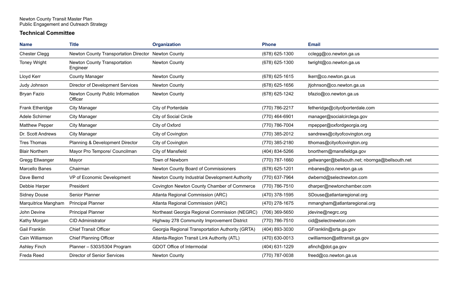#### **Technical Committee**

| <b>Name</b>           | <b>Title</b>                                        | <b>Organization</b>                              | <b>Phone</b>     | <b>Email</b>                                    |
|-----------------------|-----------------------------------------------------|--------------------------------------------------|------------------|-------------------------------------------------|
| <b>Chester Clegg</b>  | Newton County Transportation Director Newton County |                                                  | (678) 625-1300   | cclegg@co.newton.ga.us                          |
| <b>Toney Wright</b>   | Newton County Transportation<br>Engineer            | Newton County                                    | (678) 625-1300   | twright@co.newton.ga.us                         |
| Lloyd Kerr            | <b>County Manager</b>                               | Newton County                                    | $(678)$ 625-1615 | lkerr@co.newton.ga.us                           |
| Judy Johnson          | Director of Development Services                    | Newton County                                    | $(678)$ 625-1656 | jtjohnson@co.newton.ga.us                       |
| Bryan Fazio           | Newton County Public Information<br>Officer         | Newton County                                    | (678) 625-1242   | bfazio@co.newton.ga.us                          |
| Frank Etheridge       | <b>City Manager</b>                                 | City of Porterdale                               | (770) 786-2217   | fetheridge@cityofporterdale.com                 |
| Adele Schirmer        | <b>City Manager</b>                                 | City of Social Circle                            | (770) 464-6901   | manager@socialcirclega.gov                      |
| <b>Matthew Pepper</b> | <b>City Manager</b>                                 | City of Oxford                                   | (770) 786-7004   | mpepper@oxfordgeorgia.org                       |
| Dr. Scott Andrews     | <b>City Manager</b>                                 | City of Covington                                | (770) 385-2012   | sandrews@cityofcovington.org                    |
| <b>Tres Thomas</b>    | Planning & Development Director                     | City of Covington                                | (770) 385-2180   | tthomas@cityofcovington.org                     |
| <b>Blair Northern</b> | Mayor Pro Tempore/ Councilman                       | City of Mansfield                                | (404) 834-5266   | bnorthern@mansfieldga.gov                       |
| Gregg Ellwanger       | Mayor                                               | Town of Newborn                                  | (770) 787-1660   | gellwanger@bellsouth.net; nbornga@bellsouth.net |
| Marcello Banes        | Chairman                                            | Newton County Board of Commissioners             | (678) 625-1201   | mbanes@co.newton.ga.us                          |
| Dave Bernd            | VP of Economic Development                          | Newton County Industrial Development Authority   | (770) 637-7964   | dwbernd@selectnewton.com                        |
| Debbie Harper         | President                                           | Covington Newton County Chamber of Commerce      | (770) 786-7510   | dharper@newtonchamber.com                       |
| <b>Sidney Douse</b>   | Senior Planner                                      | Atlanta Regional Commission (ARC)                | (470) 378-1595   | SDouse@atlantaregional.org                      |
| Marquitrice Mangham   | <b>Principal Planner</b>                            | Atlanta Regional Commission (ARC)                | (470) 278-1675   | mmangham@atlantaregional.org                    |
| John Devine           | <b>Principal Planner</b>                            | Northeast Georgia Regional Commission (NEGRC)    | (706) 369-5650   | jdevine@negrc.org                               |
| Kathy Morgan          | <b>CID Administrator</b>                            | Highway 278 Community Improvement District       | (770) 786-7510   | cid@selectnewton.com                            |
| Gail Franklin         | <b>Chief Transit Officer</b>                        | Georgia Regional Transportation Authority (GRTA) | (404) 893-3030   | GFranklin@srta.ga.gov                           |
| Cain Williamson       | <b>Chief Planning Officer</b>                       | Atlanta-Region Transit Link Authority (ATL)      | $(470)$ 630-0013 | cwilliamson@atltransit.ga.gov                   |
| <b>Ashley Finch</b>   | Planner - 5303/5304 Program                         | GDOT Office of Intermodal                        | (404) 631-1229   | afinch@dot.ga.gov                               |
| Freda Reed            | <b>Director of Senior Services</b>                  | Newton County                                    | (770) 787-0038   | freed@co.newton.ga.us                           |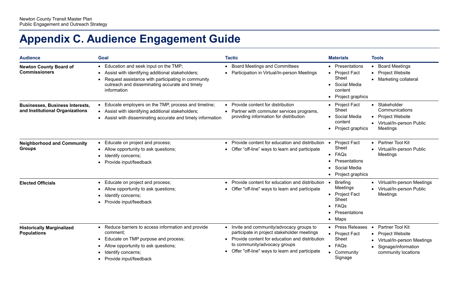# **Appendix C. Audience Engagement Guide**

| <b>Audience</b>                                                           | <b>Goal</b>                                                                                                                                                                                                                                            | <b>Tactic</b>                                                                                                                                                                                                                    | <b>Materials</b>                                                                                                                    | <b>Tools</b>                                                                                                                     |
|---------------------------------------------------------------------------|--------------------------------------------------------------------------------------------------------------------------------------------------------------------------------------------------------------------------------------------------------|----------------------------------------------------------------------------------------------------------------------------------------------------------------------------------------------------------------------------------|-------------------------------------------------------------------------------------------------------------------------------------|----------------------------------------------------------------------------------------------------------------------------------|
| <b>Newton County Board of</b><br><b>Commissioners</b>                     | Education and seek input on the TMP;<br>$\bullet$<br>Assist with identifying additional stakeholders;<br>$\bullet$<br>Request assistance with participating in community<br>$\bullet$<br>outreach and disseminating accurate and timely<br>information | • Board Meetings and Committees<br>• Participation in Virtual/In-person Meetings                                                                                                                                                 | Presentations<br>$\bullet$<br><b>Project Fact</b><br>$\bullet$<br>Sheet<br>Social Media<br>$\bullet$<br>content<br>Project graphics | • Board Meetings<br>• Project Website<br>• Marketing collateral                                                                  |
| <b>Businesses, Business Interests,</b><br>and Institutional Organizations | Educate employers on the TMP, process and timeline;<br>$\bullet$<br>• Assist with identifying additional stakeholders;<br>Assist with disseminating accurate and timely information<br>$\bullet$                                                       | • Provide content for distribution<br>Partner with commuter services programs,<br>providing information for distribution                                                                                                         | <b>Project Fact</b><br>$\bullet$<br><b>Sheet</b><br>Social Media<br>content<br>Project graphics                                     | • Stakeholder<br>Communications<br>• Project Website<br>• Virtual/In-person Public<br>Meetings                                   |
| <b>Neighborhood and Community</b><br><b>Groups</b>                        | Educate on project and process;<br>$\bullet$<br>Allow opportunity to ask questions;<br>$\bullet$<br>Identify concerns;<br>Provide input/feedback<br>$\bullet$                                                                                          | • Provide content for education and distribution<br>Offer "off-line" ways to learn and participate                                                                                                                               | <b>Project Fact</b><br>Sheet<br>FAQs<br>$\bullet$<br>Presentations<br>Social Media<br>Project graphics                              | • Partner Tool Kit<br>• Virtual/In-person Public<br>Meetings                                                                     |
| <b>Elected Officials</b>                                                  | Educate on project and process;<br>$\bullet$<br>Allow opportunity to ask questions;<br>$\bullet$<br>Identify concerns;<br>Provide input/feedback                                                                                                       | • Provide content for education and distribution<br>• Offer "off-line" ways to learn and participate                                                                                                                             | <b>Briefing</b><br>Meetings<br><b>Project Fact</b><br>$\bullet$<br>Sheet<br>FAQs<br>$\bullet$<br>Presentations<br>Maps<br>$\bullet$ | • Virtual/In-person Meetings<br>• Virtual/In-person Public<br>Meetings                                                           |
| <b>Historically Marginalized</b><br><b>Populations</b>                    | Reduce barriers to access information and provide<br>$\bullet$<br>comment:<br>Educate on TMP purpose and process;<br>$\bullet$<br>Allow opportunity to ask questions;<br>Identify concerns;<br>Provide input/feedback<br>$\bullet$                     | • Invite and community/advocacy groups to<br>participate in project stakeholder meetings<br>• Provide content for education and distribution<br>to community/advocacy groups<br>• Offer "off-line" ways to learn and participate | <b>Press Releases</b><br><b>Project Fact</b><br>$\bullet$<br><b>Sheet</b><br>FAQs<br>$\bullet$<br>Community<br>$\bullet$<br>Signage | Partner Tool Kit<br>$\bullet$<br>• Project Website<br>• Virtual/In-person Meetings<br>Signage/information<br>community locations |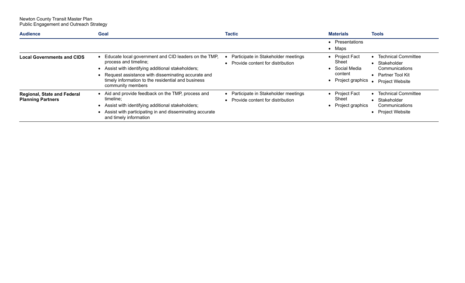| <b>Audience</b>                                                | Goal                                                                                                                                                                                                                                                               | <b>Tactic</b>                                                               | <b>Materials</b>                                                            | <b>Tools</b>                                                                                                |
|----------------------------------------------------------------|--------------------------------------------------------------------------------------------------------------------------------------------------------------------------------------------------------------------------------------------------------------------|-----------------------------------------------------------------------------|-----------------------------------------------------------------------------|-------------------------------------------------------------------------------------------------------------|
|                                                                |                                                                                                                                                                                                                                                                    |                                                                             | Presentations<br>Maps                                                       |                                                                                                             |
| <b>Local Governments and CIDS</b>                              | Educate local government and CID leaders on the TMP,<br>process and timeline;<br>Assist with identifying additional stakeholders;<br>Request assistance with disseminating accurate and<br>timely information to the residential and business<br>community members | Participate in Stakeholder meetings<br>• Provide content for distribution   | <b>Project Fact</b><br>Sheet<br>Social Media<br>content<br>Project graphics | <b>Technical Committee</b><br>Stakeholder<br>Communications<br>• Partner Tool Kit<br><b>Project Website</b> |
| <b>Regional, State and Federal</b><br><b>Planning Partners</b> | Aid and provide feedback on the TMP, process and<br>timeline;<br>Assist with identifying additional stakeholders;<br>Assist with participating in and disseminating accurate<br>and timely information                                                             | • Participate in Stakeholder meetings<br>• Provide content for distribution | <b>Project Fact</b><br>Sheet<br>Project graphics                            | <b>Technical Committee</b><br>Stakeholder<br>Communications<br>• Project Website                            |